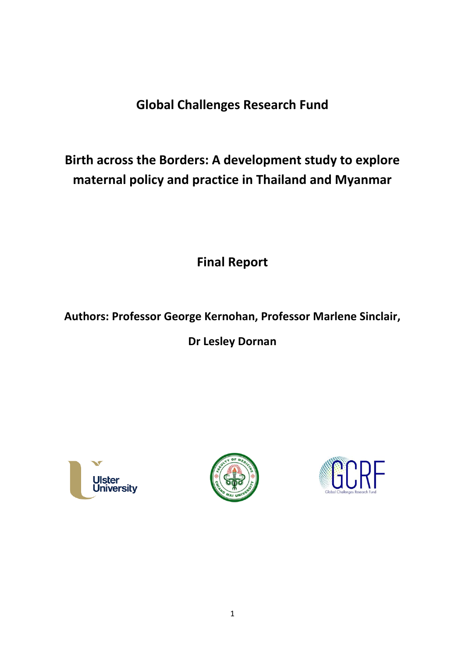# **Global Challenges Research Fund**

# **Birth across the Borders: A development study to explore maternal policy and practice in Thailand and Myanmar**

**Final Report**

# **Authors: Professor George Kernohan, Professor Marlene Sinclair,**

**Dr Lesley Dornan**





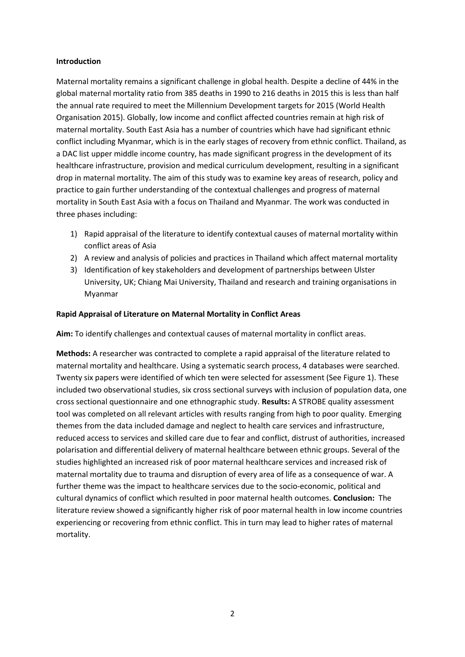#### **Introduction**

Maternal mortality remains a significant challenge in global health. Despite a decline of 44% in the global maternal mortality ratio from 385 deaths in 1990 to 216 deaths in 2015 this is less than half the annual rate required to meet the Millennium Development targets for 2015 (World Health Organisation 2015). Globally, low income and conflict affected countries remain at high risk of maternal mortality. South East Asia has a number of countries which have had significant ethnic conflict including Myanmar, which is in the early stages of recovery from ethnic conflict. Thailand, as a DAC list upper middle income country, has made significant progress in the development of its healthcare infrastructure, provision and medical curriculum development, resulting in a significant drop in maternal mortality. The aim of this study was to examine key areas of research, policy and practice to gain further understanding of the contextual challenges and progress of maternal mortality in South East Asia with a focus on Thailand and Myanmar. The work was conducted in three phases including:

- 1) Rapid appraisal of the literature to identify contextual causes of maternal mortality within conflict areas of Asia
- 2) A review and analysis of policies and practices in Thailand which affect maternal mortality
- 3) Identification of key stakeholders and development of partnerships between Ulster University, UK; Chiang Mai University, Thailand and research and training organisations in Myanmar

#### **Rapid Appraisal of Literature on Maternal Mortality in Conflict Areas**

**Aim:** To identify challenges and contextual causes of maternal mortality in conflict areas.

**Methods:** A researcher was contracted to complete a rapid appraisal of the literature related to maternal mortality and healthcare. Using a systematic search process, 4 databases were searched. Twenty six papers were identified of which ten were selected for assessment (See Figure 1). These included two observational studies, six cross sectional surveys with inclusion of population data, one cross sectional questionnaire and one ethnographic study. **Results:** A STROBE quality assessment tool was completed on all relevant articles with results ranging from high to poor quality. Emerging themes from the data included damage and neglect to health care services and infrastructure, reduced access to services and skilled care due to fear and conflict, distrust of authorities, increased polarisation and differential delivery of maternal healthcare between ethnic groups. Several of the studies highlighted an increased risk of poor maternal healthcare services and increased risk of maternal mortality due to trauma and disruption of every area of life as a consequence of war. A further theme was the impact to healthcare services due to the socio-economic, political and cultural dynamics of conflict which resulted in poor maternal health outcomes. **Conclusion:** The literature review showed a significantly higher risk of poor maternal health in low income countries experiencing or recovering from ethnic conflict. This in turn may lead to higher rates of maternal mortality.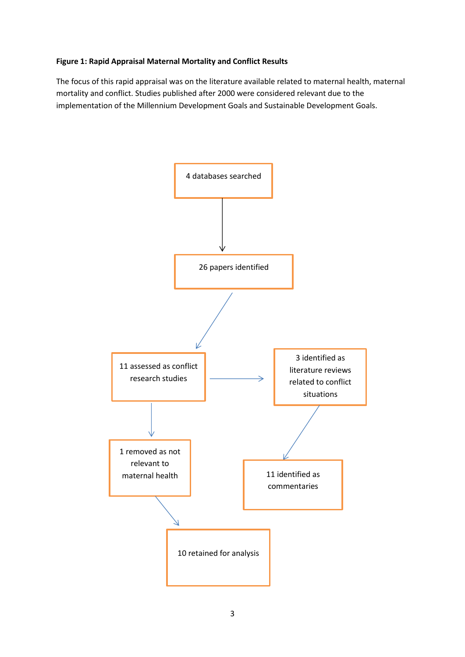#### **Figure 1: Rapid Appraisal Maternal Mortality and Conflict Results**

The focus of this rapid appraisal was on the literature available related to maternal health, maternal mortality and conflict. Studies published after 2000 were considered relevant due to the implementation of the Millennium Development Goals and Sustainable Development Goals.

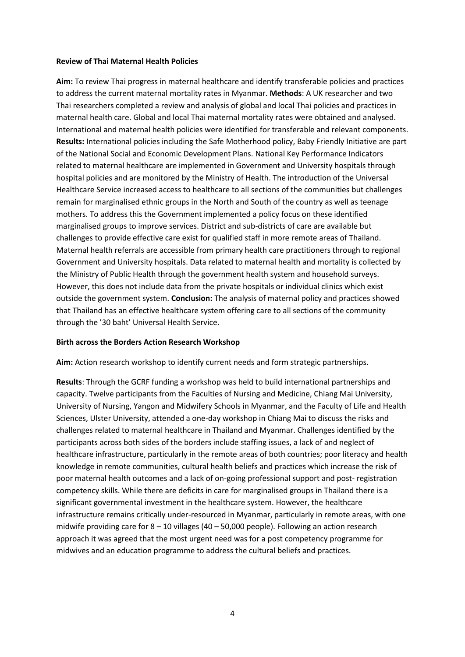#### **Review of Thai Maternal Health Policies**

**Aim:** To review Thai progress in maternal healthcare and identify transferable policies and practices to address the current maternal mortality rates in Myanmar. **Methods**: A UK researcher and two Thai researchers completed a review and analysis of global and local Thai policies and practices in maternal health care. Global and local Thai maternal mortality rates were obtained and analysed. International and maternal health policies were identified for transferable and relevant components. **Results:** International policies including the Safe Motherhood policy, Baby Friendly Initiative are part of the National Social and Economic Development Plans. National Key Performance Indicators related to maternal healthcare are implemented in Government and University hospitals through hospital policies and are monitored by the Ministry of Health. The introduction of the Universal Healthcare Service increased access to healthcare to all sections of the communities but challenges remain for marginalised ethnic groups in the North and South of the country as well as teenage mothers. To address this the Government implemented a policy focus on these identified marginalised groups to improve services. District and sub-districts of care are available but challenges to provide effective care exist for qualified staff in more remote areas of Thailand. Maternal health referrals are accessible from primary health care practitioners through to regional Government and University hospitals. Data related to maternal health and mortality is collected by the Ministry of Public Health through the government health system and household surveys. However, this does not include data from the private hospitals or individual clinics which exist outside the government system. **Conclusion:** The analysis of maternal policy and practices showed that Thailand has an effective healthcare system offering care to all sections of the community through the '30 baht' Universal Health Service.

#### **Birth across the Borders Action Research Workshop**

**Aim:** Action research workshop to identify current needs and form strategic partnerships.

**Results**: Through the GCRF funding a workshop was held to build international partnerships and capacity. Twelve participants from the Faculties of Nursing and Medicine, Chiang Mai University, University of Nursing, Yangon and Midwifery Schools in Myanmar, and the Faculty of Life and Health Sciences, Ulster University, attended a one-day workshop in Chiang Mai to discuss the risks and challenges related to maternal healthcare in Thailand and Myanmar. Challenges identified by the participants across both sides of the borders include staffing issues, a lack of and neglect of healthcare infrastructure, particularly in the remote areas of both countries; poor literacy and health knowledge in remote communities, cultural health beliefs and practices which increase the risk of poor maternal health outcomes and a lack of on-going professional support and post- registration competency skills. While there are deficits in care for marginalised groups in Thailand there is a significant governmental investment in the healthcare system. However, the healthcare infrastructure remains critically under-resourced in Myanmar, particularly in remote areas, with one midwife providing care for 8 – 10 villages (40 – 50,000 people). Following an action research approach it was agreed that the most urgent need was for a post competency programme for midwives and an education programme to address the cultural beliefs and practices.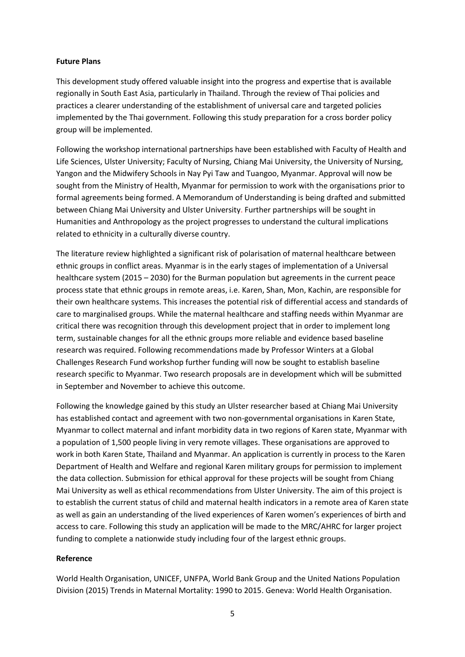#### **Future Plans**

This development study offered valuable insight into the progress and expertise that is available regionally in South East Asia, particularly in Thailand. Through the review of Thai policies and practices a clearer understanding of the establishment of universal care and targeted policies implemented by the Thai government. Following this study preparation for a cross border policy group will be implemented.

Following the workshop international partnerships have been established with Faculty of Health and Life Sciences, Ulster University; Faculty of Nursing, Chiang Mai University, the University of Nursing, Yangon and the Midwifery Schools in Nay Pyi Taw and Tuangoo, Myanmar. Approval will now be sought from the Ministry of Health, Myanmar for permission to work with the organisations prior to formal agreements being formed. A Memorandum of Understanding is being drafted and submitted between Chiang Mai University and Ulster University. Further partnerships will be sought in Humanities and Anthropology as the project progresses to understand the cultural implications related to ethnicity in a culturally diverse country.

The literature review highlighted a significant risk of polarisation of maternal healthcare between ethnic groups in conflict areas. Myanmar is in the early stages of implementation of a Universal healthcare system (2015 – 2030) for the Burman population but agreements in the current peace process state that ethnic groups in remote areas, i.e. Karen, Shan, Mon, Kachin, are responsible for their own healthcare systems. This increases the potential risk of differential access and standards of care to marginalised groups. While the maternal healthcare and staffing needs within Myanmar are critical there was recognition through this development project that in order to implement long term, sustainable changes for all the ethnic groups more reliable and evidence based baseline research was required. Following recommendations made by Professor Winters at a Global Challenges Research Fund workshop further funding will now be sought to establish baseline research specific to Myanmar. Two research proposals are in development which will be submitted in September and November to achieve this outcome.

Following the knowledge gained by this study an Ulster researcher based at Chiang Mai University has established contact and agreement with two non-governmental organisations in Karen State, Myanmar to collect maternal and infant morbidity data in two regions of Karen state, Myanmar with a population of 1,500 people living in very remote villages. These organisations are approved to work in both Karen State, Thailand and Myanmar. An application is currently in process to the Karen Department of Health and Welfare and regional Karen military groups for permission to implement the data collection. Submission for ethical approval for these projects will be sought from Chiang Mai University as well as ethical recommendations from Ulster University. The aim of this project is to establish the current status of child and maternal health indicators in a remote area of Karen state as well as gain an understanding of the lived experiences of Karen women's experiences of birth and access to care. Following this study an application will be made to the MRC/AHRC for larger project funding to complete a nationwide study including four of the largest ethnic groups.

#### **Reference**

World Health Organisation, UNICEF, UNFPA, World Bank Group and the United Nations Population Division (2015) Trends in Maternal Mortality: 1990 to 2015. Geneva: World Health Organisation.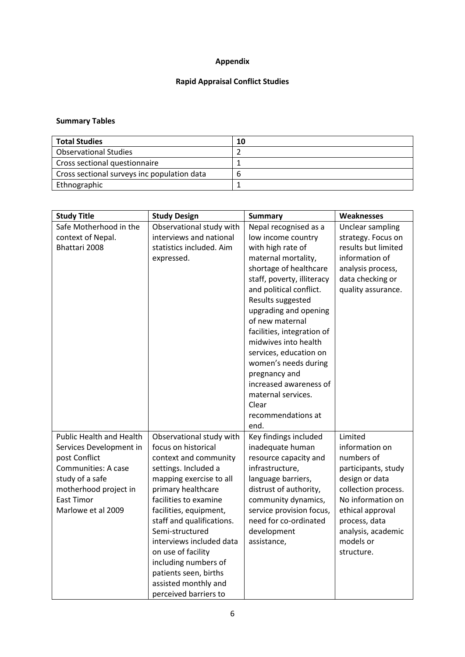## **Appendix**

### **Rapid Appraisal Conflict Studies**

### **Summary Tables**

| <b>Total Studies</b>                        | 10 |
|---------------------------------------------|----|
| <b>Observational Studies</b>                |    |
| Cross sectional questionnaire               |    |
| Cross sectional surveys inc population data | ь  |
| Ethnographic                                |    |

| <b>Study Title</b>              | <b>Study Design</b>       | <b>Summary</b>             | Weaknesses          |
|---------------------------------|---------------------------|----------------------------|---------------------|
| Safe Motherhood in the          | Observational study with  | Nepal recognised as a      | Unclear sampling    |
| context of Nepal.               | interviews and national   | low income country         | strategy. Focus on  |
| Bhattari 2008                   | statistics included. Aim  | with high rate of          | results but limited |
|                                 | expressed.                | maternal mortality,        | information of      |
|                                 |                           | shortage of healthcare     | analysis process,   |
|                                 |                           | staff, poverty, illiteracy | data checking or    |
|                                 |                           | and political conflict.    | quality assurance.  |
|                                 |                           | Results suggested          |                     |
|                                 |                           | upgrading and opening      |                     |
|                                 |                           | of new maternal            |                     |
|                                 |                           | facilities, integration of |                     |
|                                 |                           | midwives into health       |                     |
|                                 |                           | services, education on     |                     |
|                                 |                           | women's needs during       |                     |
|                                 |                           | pregnancy and              |                     |
|                                 |                           | increased awareness of     |                     |
|                                 |                           | maternal services.         |                     |
|                                 |                           | Clear                      |                     |
|                                 |                           | recommendations at         |                     |
|                                 |                           | end.                       |                     |
| <b>Public Health and Health</b> | Observational study with  | Key findings included      | Limited             |
| Services Development in         | focus on historical       | inadequate human           | information on      |
| post Conflict                   | context and community     | resource capacity and      | numbers of          |
| Communities: A case             | settings. Included a      | infrastructure,            | participants, study |
| study of a safe                 | mapping exercise to all   | language barriers,         | design or data      |
| motherhood project in           | primary healthcare        | distrust of authority,     | collection process. |
| <b>East Timor</b>               | facilities to examine     | community dynamics,        | No information on   |
| Marlowe et al 2009              | facilities, equipment,    | service provision focus,   | ethical approval    |
|                                 | staff and qualifications. | need for co-ordinated      | process, data       |
|                                 | Semi-structured           | development                | analysis, academic  |
|                                 | interviews included data  | assistance,                | models or           |
|                                 | on use of facility        |                            | structure.          |
|                                 | including numbers of      |                            |                     |
|                                 | patients seen, births     |                            |                     |
|                                 | assisted monthly and      |                            |                     |
|                                 | perceived barriers to     |                            |                     |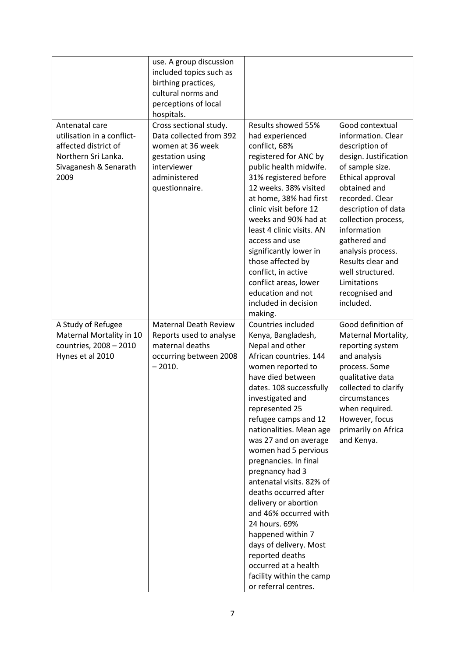|                                                                                                                              | use. A group discussion<br>included topics such as<br>birthing practices,<br>cultural norms and<br>perceptions of local<br>hospitals.     |                                                                                                                                                                                                                                                                                                                                                                                                                                                                                                                                                                                                                       |                                                                                                                                                                                                                                                                                                                                                     |
|------------------------------------------------------------------------------------------------------------------------------|-------------------------------------------------------------------------------------------------------------------------------------------|-----------------------------------------------------------------------------------------------------------------------------------------------------------------------------------------------------------------------------------------------------------------------------------------------------------------------------------------------------------------------------------------------------------------------------------------------------------------------------------------------------------------------------------------------------------------------------------------------------------------------|-----------------------------------------------------------------------------------------------------------------------------------------------------------------------------------------------------------------------------------------------------------------------------------------------------------------------------------------------------|
| Antenatal care<br>utilisation in a conflict-<br>affected district of<br>Northern Sri Lanka.<br>Sivaganesh & Senarath<br>2009 | Cross sectional study.<br>Data collected from 392<br>women at 36 week<br>gestation using<br>interviewer<br>administered<br>questionnaire. | Results showed 55%<br>had experienced<br>conflict, 68%<br>registered for ANC by<br>public health midwife.<br>31% registered before<br>12 weeks. 38% visited<br>at home, 38% had first<br>clinic visit before 12<br>weeks and 90% had at<br>least 4 clinic visits. AN<br>access and use<br>significantly lower in<br>those affected by<br>conflict, in active<br>conflict areas, lower<br>education and not<br>included in decision<br>making.                                                                                                                                                                         | Good contextual<br>information. Clear<br>description of<br>design. Justification<br>of sample size.<br>Ethical approval<br>obtained and<br>recorded. Clear<br>description of data<br>collection process,<br>information<br>gathered and<br>analysis process.<br>Results clear and<br>well structured.<br>Limitations<br>recognised and<br>included. |
| A Study of Refugee<br>Maternal Mortality in 10<br>countries, 2008 - 2010<br>Hynes et al 2010                                 | <b>Maternal Death Review</b><br>Reports used to analyse<br>maternal deaths<br>occurring between 2008<br>$-2010.$                          | Countries included<br>Kenya, Bangladesh,<br>Nepal and other<br>African countries. 144<br>women reported to<br>have died between<br>dates. 108 successfully<br>investigated and<br>represented 25<br>refugee camps and 12<br>nationalities. Mean age<br>was 27 and on average<br>women had 5 pervious<br>pregnancies. In final<br>pregnancy had 3<br>antenatal visits. 82% of<br>deaths occurred after<br>delivery or abortion<br>and 46% occurred with<br>24 hours. 69%<br>happened within 7<br>days of delivery. Most<br>reported deaths<br>occurred at a health<br>facility within the camp<br>or referral centres. | Good definition of<br>Maternal Mortality,<br>reporting system<br>and analysis<br>process. Some<br>qualitative data<br>collected to clarify<br>circumstances<br>when required.<br>However, focus<br>primarily on Africa<br>and Kenya.                                                                                                                |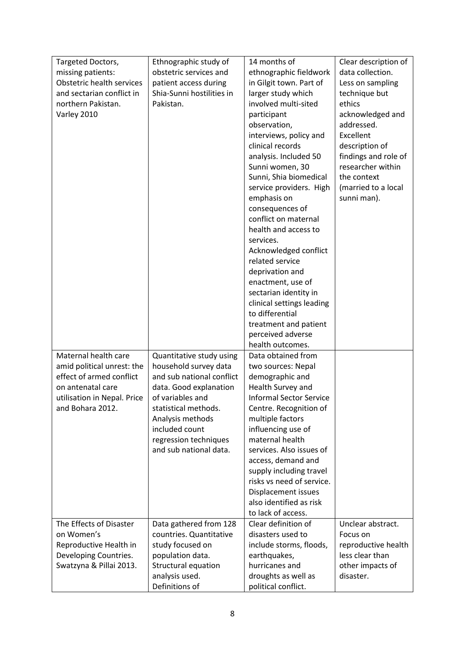| Targeted Doctors,           | Ethnographic study of     | 14 months of                   | Clear description of |
|-----------------------------|---------------------------|--------------------------------|----------------------|
| missing patients:           | obstetric services and    | ethnographic fieldwork         | data collection.     |
| Obstetric health services   | patient access during     | in Gilgit town. Part of        | Less on sampling     |
| and sectarian conflict in   | Shia-Sunni hostilities in | larger study which             | technique but        |
| northern Pakistan.          | Pakistan.                 | involved multi-sited           | ethics               |
| Varley 2010                 |                           | participant                    | acknowledged and     |
|                             |                           | observation,                   | addressed.           |
|                             |                           | interviews, policy and         | Excellent            |
|                             |                           | clinical records               | description of       |
|                             |                           | analysis. Included 50          | findings and role of |
|                             |                           | Sunni women, 30                | researcher within    |
|                             |                           | Sunni, Shia biomedical         | the context          |
|                             |                           | service providers. High        | (married to a local  |
|                             |                           | emphasis on                    | sunni man).          |
|                             |                           | consequences of                |                      |
|                             |                           | conflict on maternal           |                      |
|                             |                           | health and access to           |                      |
|                             |                           | services.                      |                      |
|                             |                           | Acknowledged conflict          |                      |
|                             |                           | related service                |                      |
|                             |                           | deprivation and                |                      |
|                             |                           | enactment, use of              |                      |
|                             |                           | sectarian identity in          |                      |
|                             |                           | clinical settings leading      |                      |
|                             |                           | to differential                |                      |
|                             |                           | treatment and patient          |                      |
|                             |                           | perceived adverse              |                      |
|                             |                           | health outcomes.               |                      |
| Maternal health care        | Quantitative study using  | Data obtained from             |                      |
| amid political unrest: the  | household survey data     | two sources: Nepal             |                      |
| effect of armed conflict    | and sub national conflict | demographic and                |                      |
| on antenatal care           | data. Good explanation    | Health Survey and              |                      |
| utilisation in Nepal. Price | of variables and          | <b>Informal Sector Service</b> |                      |
| and Bohara 2012.            | statistical methods.      | Centre. Recognition of         |                      |
|                             | Analysis methods          | multiple factors               |                      |
|                             | included count            | influencing use of             |                      |
|                             | regression techniques     | maternal health                |                      |
|                             | and sub national data.    | services. Also issues of       |                      |
|                             |                           | access, demand and             |                      |
|                             |                           | supply including travel        |                      |
|                             |                           | risks vs need of service.      |                      |
|                             |                           | Displacement issues            |                      |
|                             |                           | also identified as risk        |                      |
|                             |                           | to lack of access.             |                      |
| The Effects of Disaster     | Data gathered from 128    | Clear definition of            | Unclear abstract.    |
| on Women's                  | countries. Quantitative   | disasters used to              | Focus on             |
| Reproductive Health in      | study focused on          | include storms, floods,        | reproductive health  |
| Developing Countries.       | population data.          | earthquakes,                   | less clear than      |
| Swatzyna & Pillai 2013.     | Structural equation       | hurricanes and                 | other impacts of     |
|                             | analysis used.            | droughts as well as            | disaster.            |
|                             | Definitions of            | political conflict.            |                      |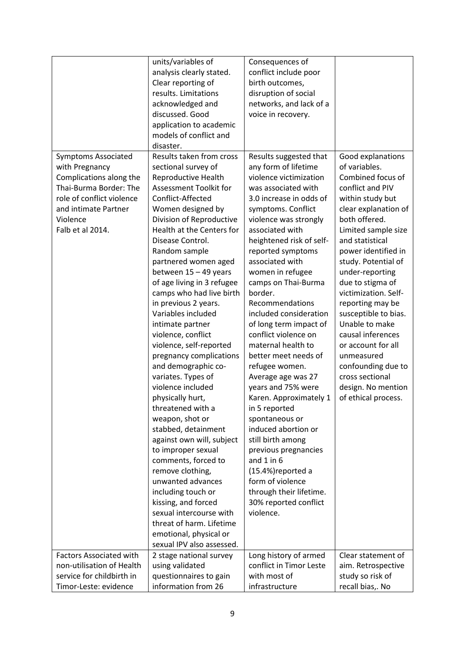| analysis clearly stated.<br>conflict include poor<br>Clear reporting of<br>birth outcomes,<br>results. Limitations<br>disruption of social<br>acknowledged and<br>networks, and lack of a<br>discussed. Good<br>voice in recovery.<br>application to academic<br>models of conflict and<br>disaster.<br>Results taken from cross<br><b>Symptoms Associated</b><br>Results suggested that<br>Good explanations<br>of variables.<br>sectional survey of<br>any form of lifetime<br>with Pregnancy<br>violence victimization<br>Combined focus of<br>Complications along the<br>Reproductive Health<br>Thai-Burma Border: The<br>Assessment Toolkit for<br>was associated with<br>conflict and PIV<br>role of conflict violence<br>Conflict-Affected<br>3.0 increase in odds of<br>within study but<br>Women designed by<br>and intimate Partner<br>symptoms. Conflict<br>clear explanation of<br>both offered.<br>Violence<br>Division of Reproductive<br>violence was strongly<br>Falb et al 2014.<br>Health at the Centers for<br>associated with<br>Limited sample size<br>Disease Control.<br>heightened risk of self-<br>and statistical<br>Random sample<br>reported symptoms<br>power identified in<br>partnered women aged<br>associated with<br>study. Potential of<br>between 15 - 49 years<br>women in refugee<br>under-reporting<br>camps on Thai-Burma<br>of age living in 3 refugee<br>due to stigma of<br>victimization. Self-<br>camps who had live birth<br>border.<br>in previous 2 years.<br>Recommendations<br>reporting may be<br>Variables included<br>included consideration<br>susceptible to bias.<br>Unable to make<br>intimate partner<br>of long term impact of<br>conflict violence on<br>causal inferences<br>violence, conflict<br>maternal health to<br>or account for all<br>violence, self-reported<br>pregnancy complications<br>better meet needs of<br>unmeasured<br>and demographic co-<br>refugee women.<br>confounding due to<br>cross sectional<br>variates. Types of<br>Average age was 27<br>violence included<br>design. No mention<br>years and 75% were<br>physically hurt,<br>Karen. Approximately 1<br>of ethical process.<br>threatened with a<br>in 5 reported<br>weapon, shot or<br>spontaneous or<br>induced abortion or<br>stabbed, detainment<br>against own will, subject<br>still birth among<br>to improper sexual<br>previous pregnancies<br>comments, forced to<br>and $1$ in $6$<br>(15.4%)reported a<br>remove clothing,<br>unwanted advances<br>form of violence<br>through their lifetime.<br>including touch or<br>kissing, and forced<br>30% reported conflict<br>sexual intercourse with<br>violence.<br>threat of harm. Lifetime | units/variables of     | Consequences of |  |
|---------------------------------------------------------------------------------------------------------------------------------------------------------------------------------------------------------------------------------------------------------------------------------------------------------------------------------------------------------------------------------------------------------------------------------------------------------------------------------------------------------------------------------------------------------------------------------------------------------------------------------------------------------------------------------------------------------------------------------------------------------------------------------------------------------------------------------------------------------------------------------------------------------------------------------------------------------------------------------------------------------------------------------------------------------------------------------------------------------------------------------------------------------------------------------------------------------------------------------------------------------------------------------------------------------------------------------------------------------------------------------------------------------------------------------------------------------------------------------------------------------------------------------------------------------------------------------------------------------------------------------------------------------------------------------------------------------------------------------------------------------------------------------------------------------------------------------------------------------------------------------------------------------------------------------------------------------------------------------------------------------------------------------------------------------------------------------------------------------------------------------------------------------------------------------------------------------------------------------------------------------------------------------------------------------------------------------------------------------------------------------------------------------------------------------------------------------------------------------------------------------------------------------------------------------------------------------------------------------------------------------------------------------------------------------------------------|------------------------|-----------------|--|
|                                                                                                                                                                                                                                                                                                                                                                                                                                                                                                                                                                                                                                                                                                                                                                                                                                                                                                                                                                                                                                                                                                                                                                                                                                                                                                                                                                                                                                                                                                                                                                                                                                                                                                                                                                                                                                                                                                                                                                                                                                                                                                                                                                                                                                                                                                                                                                                                                                                                                                                                                                                                                                                                                                   |                        |                 |  |
|                                                                                                                                                                                                                                                                                                                                                                                                                                                                                                                                                                                                                                                                                                                                                                                                                                                                                                                                                                                                                                                                                                                                                                                                                                                                                                                                                                                                                                                                                                                                                                                                                                                                                                                                                                                                                                                                                                                                                                                                                                                                                                                                                                                                                                                                                                                                                                                                                                                                                                                                                                                                                                                                                                   |                        |                 |  |
|                                                                                                                                                                                                                                                                                                                                                                                                                                                                                                                                                                                                                                                                                                                                                                                                                                                                                                                                                                                                                                                                                                                                                                                                                                                                                                                                                                                                                                                                                                                                                                                                                                                                                                                                                                                                                                                                                                                                                                                                                                                                                                                                                                                                                                                                                                                                                                                                                                                                                                                                                                                                                                                                                                   |                        |                 |  |
|                                                                                                                                                                                                                                                                                                                                                                                                                                                                                                                                                                                                                                                                                                                                                                                                                                                                                                                                                                                                                                                                                                                                                                                                                                                                                                                                                                                                                                                                                                                                                                                                                                                                                                                                                                                                                                                                                                                                                                                                                                                                                                                                                                                                                                                                                                                                                                                                                                                                                                                                                                                                                                                                                                   |                        |                 |  |
|                                                                                                                                                                                                                                                                                                                                                                                                                                                                                                                                                                                                                                                                                                                                                                                                                                                                                                                                                                                                                                                                                                                                                                                                                                                                                                                                                                                                                                                                                                                                                                                                                                                                                                                                                                                                                                                                                                                                                                                                                                                                                                                                                                                                                                                                                                                                                                                                                                                                                                                                                                                                                                                                                                   |                        |                 |  |
|                                                                                                                                                                                                                                                                                                                                                                                                                                                                                                                                                                                                                                                                                                                                                                                                                                                                                                                                                                                                                                                                                                                                                                                                                                                                                                                                                                                                                                                                                                                                                                                                                                                                                                                                                                                                                                                                                                                                                                                                                                                                                                                                                                                                                                                                                                                                                                                                                                                                                                                                                                                                                                                                                                   |                        |                 |  |
|                                                                                                                                                                                                                                                                                                                                                                                                                                                                                                                                                                                                                                                                                                                                                                                                                                                                                                                                                                                                                                                                                                                                                                                                                                                                                                                                                                                                                                                                                                                                                                                                                                                                                                                                                                                                                                                                                                                                                                                                                                                                                                                                                                                                                                                                                                                                                                                                                                                                                                                                                                                                                                                                                                   |                        |                 |  |
|                                                                                                                                                                                                                                                                                                                                                                                                                                                                                                                                                                                                                                                                                                                                                                                                                                                                                                                                                                                                                                                                                                                                                                                                                                                                                                                                                                                                                                                                                                                                                                                                                                                                                                                                                                                                                                                                                                                                                                                                                                                                                                                                                                                                                                                                                                                                                                                                                                                                                                                                                                                                                                                                                                   |                        |                 |  |
|                                                                                                                                                                                                                                                                                                                                                                                                                                                                                                                                                                                                                                                                                                                                                                                                                                                                                                                                                                                                                                                                                                                                                                                                                                                                                                                                                                                                                                                                                                                                                                                                                                                                                                                                                                                                                                                                                                                                                                                                                                                                                                                                                                                                                                                                                                                                                                                                                                                                                                                                                                                                                                                                                                   |                        |                 |  |
|                                                                                                                                                                                                                                                                                                                                                                                                                                                                                                                                                                                                                                                                                                                                                                                                                                                                                                                                                                                                                                                                                                                                                                                                                                                                                                                                                                                                                                                                                                                                                                                                                                                                                                                                                                                                                                                                                                                                                                                                                                                                                                                                                                                                                                                                                                                                                                                                                                                                                                                                                                                                                                                                                                   |                        |                 |  |
|                                                                                                                                                                                                                                                                                                                                                                                                                                                                                                                                                                                                                                                                                                                                                                                                                                                                                                                                                                                                                                                                                                                                                                                                                                                                                                                                                                                                                                                                                                                                                                                                                                                                                                                                                                                                                                                                                                                                                                                                                                                                                                                                                                                                                                                                                                                                                                                                                                                                                                                                                                                                                                                                                                   |                        |                 |  |
|                                                                                                                                                                                                                                                                                                                                                                                                                                                                                                                                                                                                                                                                                                                                                                                                                                                                                                                                                                                                                                                                                                                                                                                                                                                                                                                                                                                                                                                                                                                                                                                                                                                                                                                                                                                                                                                                                                                                                                                                                                                                                                                                                                                                                                                                                                                                                                                                                                                                                                                                                                                                                                                                                                   |                        |                 |  |
|                                                                                                                                                                                                                                                                                                                                                                                                                                                                                                                                                                                                                                                                                                                                                                                                                                                                                                                                                                                                                                                                                                                                                                                                                                                                                                                                                                                                                                                                                                                                                                                                                                                                                                                                                                                                                                                                                                                                                                                                                                                                                                                                                                                                                                                                                                                                                                                                                                                                                                                                                                                                                                                                                                   |                        |                 |  |
|                                                                                                                                                                                                                                                                                                                                                                                                                                                                                                                                                                                                                                                                                                                                                                                                                                                                                                                                                                                                                                                                                                                                                                                                                                                                                                                                                                                                                                                                                                                                                                                                                                                                                                                                                                                                                                                                                                                                                                                                                                                                                                                                                                                                                                                                                                                                                                                                                                                                                                                                                                                                                                                                                                   |                        |                 |  |
|                                                                                                                                                                                                                                                                                                                                                                                                                                                                                                                                                                                                                                                                                                                                                                                                                                                                                                                                                                                                                                                                                                                                                                                                                                                                                                                                                                                                                                                                                                                                                                                                                                                                                                                                                                                                                                                                                                                                                                                                                                                                                                                                                                                                                                                                                                                                                                                                                                                                                                                                                                                                                                                                                                   |                        |                 |  |
|                                                                                                                                                                                                                                                                                                                                                                                                                                                                                                                                                                                                                                                                                                                                                                                                                                                                                                                                                                                                                                                                                                                                                                                                                                                                                                                                                                                                                                                                                                                                                                                                                                                                                                                                                                                                                                                                                                                                                                                                                                                                                                                                                                                                                                                                                                                                                                                                                                                                                                                                                                                                                                                                                                   |                        |                 |  |
|                                                                                                                                                                                                                                                                                                                                                                                                                                                                                                                                                                                                                                                                                                                                                                                                                                                                                                                                                                                                                                                                                                                                                                                                                                                                                                                                                                                                                                                                                                                                                                                                                                                                                                                                                                                                                                                                                                                                                                                                                                                                                                                                                                                                                                                                                                                                                                                                                                                                                                                                                                                                                                                                                                   |                        |                 |  |
|                                                                                                                                                                                                                                                                                                                                                                                                                                                                                                                                                                                                                                                                                                                                                                                                                                                                                                                                                                                                                                                                                                                                                                                                                                                                                                                                                                                                                                                                                                                                                                                                                                                                                                                                                                                                                                                                                                                                                                                                                                                                                                                                                                                                                                                                                                                                                                                                                                                                                                                                                                                                                                                                                                   |                        |                 |  |
|                                                                                                                                                                                                                                                                                                                                                                                                                                                                                                                                                                                                                                                                                                                                                                                                                                                                                                                                                                                                                                                                                                                                                                                                                                                                                                                                                                                                                                                                                                                                                                                                                                                                                                                                                                                                                                                                                                                                                                                                                                                                                                                                                                                                                                                                                                                                                                                                                                                                                                                                                                                                                                                                                                   |                        |                 |  |
|                                                                                                                                                                                                                                                                                                                                                                                                                                                                                                                                                                                                                                                                                                                                                                                                                                                                                                                                                                                                                                                                                                                                                                                                                                                                                                                                                                                                                                                                                                                                                                                                                                                                                                                                                                                                                                                                                                                                                                                                                                                                                                                                                                                                                                                                                                                                                                                                                                                                                                                                                                                                                                                                                                   |                        |                 |  |
|                                                                                                                                                                                                                                                                                                                                                                                                                                                                                                                                                                                                                                                                                                                                                                                                                                                                                                                                                                                                                                                                                                                                                                                                                                                                                                                                                                                                                                                                                                                                                                                                                                                                                                                                                                                                                                                                                                                                                                                                                                                                                                                                                                                                                                                                                                                                                                                                                                                                                                                                                                                                                                                                                                   |                        |                 |  |
|                                                                                                                                                                                                                                                                                                                                                                                                                                                                                                                                                                                                                                                                                                                                                                                                                                                                                                                                                                                                                                                                                                                                                                                                                                                                                                                                                                                                                                                                                                                                                                                                                                                                                                                                                                                                                                                                                                                                                                                                                                                                                                                                                                                                                                                                                                                                                                                                                                                                                                                                                                                                                                                                                                   |                        |                 |  |
|                                                                                                                                                                                                                                                                                                                                                                                                                                                                                                                                                                                                                                                                                                                                                                                                                                                                                                                                                                                                                                                                                                                                                                                                                                                                                                                                                                                                                                                                                                                                                                                                                                                                                                                                                                                                                                                                                                                                                                                                                                                                                                                                                                                                                                                                                                                                                                                                                                                                                                                                                                                                                                                                                                   |                        |                 |  |
|                                                                                                                                                                                                                                                                                                                                                                                                                                                                                                                                                                                                                                                                                                                                                                                                                                                                                                                                                                                                                                                                                                                                                                                                                                                                                                                                                                                                                                                                                                                                                                                                                                                                                                                                                                                                                                                                                                                                                                                                                                                                                                                                                                                                                                                                                                                                                                                                                                                                                                                                                                                                                                                                                                   |                        |                 |  |
|                                                                                                                                                                                                                                                                                                                                                                                                                                                                                                                                                                                                                                                                                                                                                                                                                                                                                                                                                                                                                                                                                                                                                                                                                                                                                                                                                                                                                                                                                                                                                                                                                                                                                                                                                                                                                                                                                                                                                                                                                                                                                                                                                                                                                                                                                                                                                                                                                                                                                                                                                                                                                                                                                                   |                        |                 |  |
|                                                                                                                                                                                                                                                                                                                                                                                                                                                                                                                                                                                                                                                                                                                                                                                                                                                                                                                                                                                                                                                                                                                                                                                                                                                                                                                                                                                                                                                                                                                                                                                                                                                                                                                                                                                                                                                                                                                                                                                                                                                                                                                                                                                                                                                                                                                                                                                                                                                                                                                                                                                                                                                                                                   |                        |                 |  |
|                                                                                                                                                                                                                                                                                                                                                                                                                                                                                                                                                                                                                                                                                                                                                                                                                                                                                                                                                                                                                                                                                                                                                                                                                                                                                                                                                                                                                                                                                                                                                                                                                                                                                                                                                                                                                                                                                                                                                                                                                                                                                                                                                                                                                                                                                                                                                                                                                                                                                                                                                                                                                                                                                                   |                        |                 |  |
|                                                                                                                                                                                                                                                                                                                                                                                                                                                                                                                                                                                                                                                                                                                                                                                                                                                                                                                                                                                                                                                                                                                                                                                                                                                                                                                                                                                                                                                                                                                                                                                                                                                                                                                                                                                                                                                                                                                                                                                                                                                                                                                                                                                                                                                                                                                                                                                                                                                                                                                                                                                                                                                                                                   |                        |                 |  |
|                                                                                                                                                                                                                                                                                                                                                                                                                                                                                                                                                                                                                                                                                                                                                                                                                                                                                                                                                                                                                                                                                                                                                                                                                                                                                                                                                                                                                                                                                                                                                                                                                                                                                                                                                                                                                                                                                                                                                                                                                                                                                                                                                                                                                                                                                                                                                                                                                                                                                                                                                                                                                                                                                                   |                        |                 |  |
|                                                                                                                                                                                                                                                                                                                                                                                                                                                                                                                                                                                                                                                                                                                                                                                                                                                                                                                                                                                                                                                                                                                                                                                                                                                                                                                                                                                                                                                                                                                                                                                                                                                                                                                                                                                                                                                                                                                                                                                                                                                                                                                                                                                                                                                                                                                                                                                                                                                                                                                                                                                                                                                                                                   |                        |                 |  |
|                                                                                                                                                                                                                                                                                                                                                                                                                                                                                                                                                                                                                                                                                                                                                                                                                                                                                                                                                                                                                                                                                                                                                                                                                                                                                                                                                                                                                                                                                                                                                                                                                                                                                                                                                                                                                                                                                                                                                                                                                                                                                                                                                                                                                                                                                                                                                                                                                                                                                                                                                                                                                                                                                                   |                        |                 |  |
|                                                                                                                                                                                                                                                                                                                                                                                                                                                                                                                                                                                                                                                                                                                                                                                                                                                                                                                                                                                                                                                                                                                                                                                                                                                                                                                                                                                                                                                                                                                                                                                                                                                                                                                                                                                                                                                                                                                                                                                                                                                                                                                                                                                                                                                                                                                                                                                                                                                                                                                                                                                                                                                                                                   |                        |                 |  |
|                                                                                                                                                                                                                                                                                                                                                                                                                                                                                                                                                                                                                                                                                                                                                                                                                                                                                                                                                                                                                                                                                                                                                                                                                                                                                                                                                                                                                                                                                                                                                                                                                                                                                                                                                                                                                                                                                                                                                                                                                                                                                                                                                                                                                                                                                                                                                                                                                                                                                                                                                                                                                                                                                                   |                        |                 |  |
|                                                                                                                                                                                                                                                                                                                                                                                                                                                                                                                                                                                                                                                                                                                                                                                                                                                                                                                                                                                                                                                                                                                                                                                                                                                                                                                                                                                                                                                                                                                                                                                                                                                                                                                                                                                                                                                                                                                                                                                                                                                                                                                                                                                                                                                                                                                                                                                                                                                                                                                                                                                                                                                                                                   |                        |                 |  |
|                                                                                                                                                                                                                                                                                                                                                                                                                                                                                                                                                                                                                                                                                                                                                                                                                                                                                                                                                                                                                                                                                                                                                                                                                                                                                                                                                                                                                                                                                                                                                                                                                                                                                                                                                                                                                                                                                                                                                                                                                                                                                                                                                                                                                                                                                                                                                                                                                                                                                                                                                                                                                                                                                                   |                        |                 |  |
|                                                                                                                                                                                                                                                                                                                                                                                                                                                                                                                                                                                                                                                                                                                                                                                                                                                                                                                                                                                                                                                                                                                                                                                                                                                                                                                                                                                                                                                                                                                                                                                                                                                                                                                                                                                                                                                                                                                                                                                                                                                                                                                                                                                                                                                                                                                                                                                                                                                                                                                                                                                                                                                                                                   |                        |                 |  |
|                                                                                                                                                                                                                                                                                                                                                                                                                                                                                                                                                                                                                                                                                                                                                                                                                                                                                                                                                                                                                                                                                                                                                                                                                                                                                                                                                                                                                                                                                                                                                                                                                                                                                                                                                                                                                                                                                                                                                                                                                                                                                                                                                                                                                                                                                                                                                                                                                                                                                                                                                                                                                                                                                                   |                        |                 |  |
|                                                                                                                                                                                                                                                                                                                                                                                                                                                                                                                                                                                                                                                                                                                                                                                                                                                                                                                                                                                                                                                                                                                                                                                                                                                                                                                                                                                                                                                                                                                                                                                                                                                                                                                                                                                                                                                                                                                                                                                                                                                                                                                                                                                                                                                                                                                                                                                                                                                                                                                                                                                                                                                                                                   |                        |                 |  |
|                                                                                                                                                                                                                                                                                                                                                                                                                                                                                                                                                                                                                                                                                                                                                                                                                                                                                                                                                                                                                                                                                                                                                                                                                                                                                                                                                                                                                                                                                                                                                                                                                                                                                                                                                                                                                                                                                                                                                                                                                                                                                                                                                                                                                                                                                                                                                                                                                                                                                                                                                                                                                                                                                                   |                        |                 |  |
|                                                                                                                                                                                                                                                                                                                                                                                                                                                                                                                                                                                                                                                                                                                                                                                                                                                                                                                                                                                                                                                                                                                                                                                                                                                                                                                                                                                                                                                                                                                                                                                                                                                                                                                                                                                                                                                                                                                                                                                                                                                                                                                                                                                                                                                                                                                                                                                                                                                                                                                                                                                                                                                                                                   |                        |                 |  |
|                                                                                                                                                                                                                                                                                                                                                                                                                                                                                                                                                                                                                                                                                                                                                                                                                                                                                                                                                                                                                                                                                                                                                                                                                                                                                                                                                                                                                                                                                                                                                                                                                                                                                                                                                                                                                                                                                                                                                                                                                                                                                                                                                                                                                                                                                                                                                                                                                                                                                                                                                                                                                                                                                                   |                        |                 |  |
|                                                                                                                                                                                                                                                                                                                                                                                                                                                                                                                                                                                                                                                                                                                                                                                                                                                                                                                                                                                                                                                                                                                                                                                                                                                                                                                                                                                                                                                                                                                                                                                                                                                                                                                                                                                                                                                                                                                                                                                                                                                                                                                                                                                                                                                                                                                                                                                                                                                                                                                                                                                                                                                                                                   |                        |                 |  |
|                                                                                                                                                                                                                                                                                                                                                                                                                                                                                                                                                                                                                                                                                                                                                                                                                                                                                                                                                                                                                                                                                                                                                                                                                                                                                                                                                                                                                                                                                                                                                                                                                                                                                                                                                                                                                                                                                                                                                                                                                                                                                                                                                                                                                                                                                                                                                                                                                                                                                                                                                                                                                                                                                                   |                        |                 |  |
|                                                                                                                                                                                                                                                                                                                                                                                                                                                                                                                                                                                                                                                                                                                                                                                                                                                                                                                                                                                                                                                                                                                                                                                                                                                                                                                                                                                                                                                                                                                                                                                                                                                                                                                                                                                                                                                                                                                                                                                                                                                                                                                                                                                                                                                                                                                                                                                                                                                                                                                                                                                                                                                                                                   |                        |                 |  |
|                                                                                                                                                                                                                                                                                                                                                                                                                                                                                                                                                                                                                                                                                                                                                                                                                                                                                                                                                                                                                                                                                                                                                                                                                                                                                                                                                                                                                                                                                                                                                                                                                                                                                                                                                                                                                                                                                                                                                                                                                                                                                                                                                                                                                                                                                                                                                                                                                                                                                                                                                                                                                                                                                                   | emotional, physical or |                 |  |
| sexual IPV also assessed.                                                                                                                                                                                                                                                                                                                                                                                                                                                                                                                                                                                                                                                                                                                                                                                                                                                                                                                                                                                                                                                                                                                                                                                                                                                                                                                                                                                                                                                                                                                                                                                                                                                                                                                                                                                                                                                                                                                                                                                                                                                                                                                                                                                                                                                                                                                                                                                                                                                                                                                                                                                                                                                                         |                        |                 |  |
| <b>Factors Associated with</b><br>Long history of armed<br>Clear statement of                                                                                                                                                                                                                                                                                                                                                                                                                                                                                                                                                                                                                                                                                                                                                                                                                                                                                                                                                                                                                                                                                                                                                                                                                                                                                                                                                                                                                                                                                                                                                                                                                                                                                                                                                                                                                                                                                                                                                                                                                                                                                                                                                                                                                                                                                                                                                                                                                                                                                                                                                                                                                     |                        |                 |  |
| 2 stage national survey<br>non-utilisation of Health<br>conflict in Timor Leste<br>using validated<br>aim. Retrospective                                                                                                                                                                                                                                                                                                                                                                                                                                                                                                                                                                                                                                                                                                                                                                                                                                                                                                                                                                                                                                                                                                                                                                                                                                                                                                                                                                                                                                                                                                                                                                                                                                                                                                                                                                                                                                                                                                                                                                                                                                                                                                                                                                                                                                                                                                                                                                                                                                                                                                                                                                          |                        |                 |  |
| service for childbirth in<br>with most of<br>questionnaires to gain<br>study so risk of                                                                                                                                                                                                                                                                                                                                                                                                                                                                                                                                                                                                                                                                                                                                                                                                                                                                                                                                                                                                                                                                                                                                                                                                                                                                                                                                                                                                                                                                                                                                                                                                                                                                                                                                                                                                                                                                                                                                                                                                                                                                                                                                                                                                                                                                                                                                                                                                                                                                                                                                                                                                           |                        |                 |  |
| information from 26<br>Timor-Leste: evidence<br>infrastructure<br>recall bias,. No                                                                                                                                                                                                                                                                                                                                                                                                                                                                                                                                                                                                                                                                                                                                                                                                                                                                                                                                                                                                                                                                                                                                                                                                                                                                                                                                                                                                                                                                                                                                                                                                                                                                                                                                                                                                                                                                                                                                                                                                                                                                                                                                                                                                                                                                                                                                                                                                                                                                                                                                                                                                                |                        |                 |  |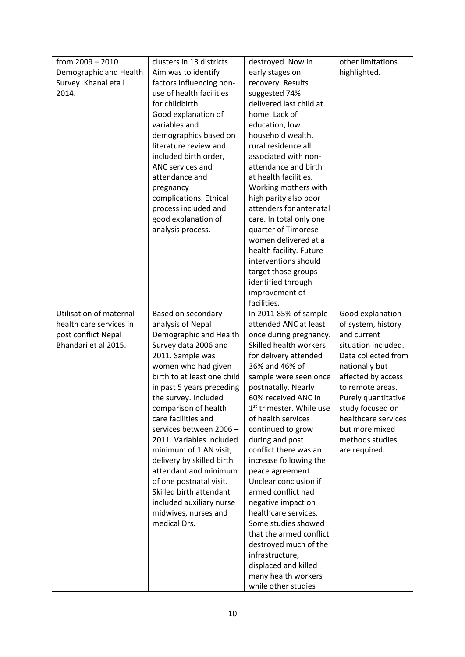| from $2009 - 2010$      | clusters in 13 districts.   | destroyed. Now in                    | other limitations   |
|-------------------------|-----------------------------|--------------------------------------|---------------------|
| Demographic and Health  | Aim was to identify         | early stages on                      | highlighted.        |
| Survey. Khanal eta l    | factors influencing non-    | recovery. Results                    |                     |
| 2014.                   | use of health facilities    | suggested 74%                        |                     |
|                         | for childbirth.             | delivered last child at              |                     |
|                         | Good explanation of         | home. Lack of                        |                     |
|                         | variables and               | education, low                       |                     |
|                         | demographics based on       | household wealth,                    |                     |
|                         | literature review and       | rural residence all                  |                     |
|                         | included birth order,       | associated with non-                 |                     |
|                         | ANC services and            | attendance and birth                 |                     |
|                         | attendance and              | at health facilities.                |                     |
|                         | pregnancy                   | Working mothers with                 |                     |
|                         | complications. Ethical      | high parity also poor                |                     |
|                         | process included and        | attenders for antenatal              |                     |
|                         | good explanation of         | care. In total only one              |                     |
|                         | analysis process.           | quarter of Timorese                  |                     |
|                         |                             | women delivered at a                 |                     |
|                         |                             | health facility. Future              |                     |
|                         |                             | interventions should                 |                     |
|                         |                             | target those groups                  |                     |
|                         |                             | identified through                   |                     |
|                         |                             | improvement of                       |                     |
|                         |                             | facilities.                          |                     |
| Utilisation of maternal | Based on secondary          | In 2011 85% of sample                | Good explanation    |
| health care services in | analysis of Nepal           | attended ANC at least                | of system, history  |
| post conflict Nepal     | Demographic and Health      | once during pregnancy.               | and current         |
| Bhandari et al 2015.    | Survey data 2006 and        | Skilled health workers               | situation included. |
|                         | 2011. Sample was            | for delivery attended                | Data collected from |
|                         | women who had given         | 36% and 46% of                       | nationally but      |
|                         | birth to at least one child | sample were seen once                | affected by access  |
|                         | in past 5 years preceding   | postnatally. Nearly                  | to remote areas.    |
|                         | the survey. Included        | 60% received ANC in                  | Purely quantitative |
|                         | comparison of health        | 1 <sup>st</sup> trimester. While use | study focused on    |
|                         | care facilities and         | of health services                   | healthcare services |
|                         | services between 2006 -     | continued to grow                    | but more mixed      |
|                         | 2011. Variables included    | during and post                      | methods studies     |
|                         | minimum of 1 AN visit,      | conflict there was an                | are required.       |
|                         | delivery by skilled birth   | increase following the               |                     |
|                         | attendant and minimum       | peace agreement.                     |                     |
|                         | of one postnatal visit.     | Unclear conclusion if                |                     |
|                         | Skilled birth attendant     | armed conflict had                   |                     |
|                         | included auxiliary nurse    | negative impact on                   |                     |
|                         | midwives, nurses and        | healthcare services.                 |                     |
|                         | medical Drs.                | Some studies showed                  |                     |
|                         |                             | that the armed conflict              |                     |
|                         |                             | destroyed much of the                |                     |
|                         |                             | infrastructure,                      |                     |
|                         |                             | displaced and killed                 |                     |
|                         |                             | many health workers                  |                     |
|                         |                             | while other studies                  |                     |
|                         |                             |                                      |                     |